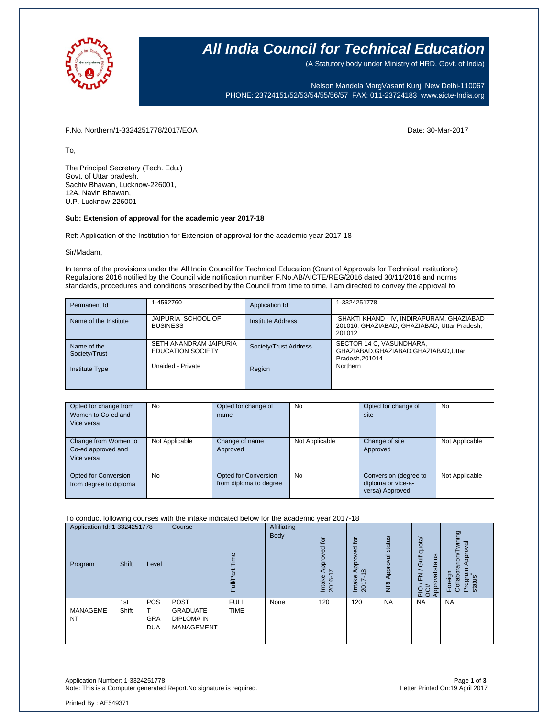

### **All India Council for Technical Education**

(A Statutory body under Ministry of HRD, Govt. of India)

Nelson Mandela MargVasant Kunj, New Delhi-110067 PHONE: 23724151/52/53/54/55/56/57 FAX: 011-23724183 [www.aicte-India.org](http://www.aicte-india.org/)

F.No. Northern/1-3324251778/2017/EOA Date: 30-Mar-2017

To,

The Principal Secretary (Tech. Edu.) Govt. of Uttar pradesh, Sachiv Bhawan, Lucknow-226001, 12A, Navin Bhawan, U.P. Lucknow-226001

#### **Sub: Extension of approval for the academic year 2017-18**

Ref: Application of the Institution for Extension of approval for the academic year 2017-18

#### Sir/Madam,

In terms of the provisions under the All India Council for Technical Education (Grant of Approvals for Technical Institutions) Regulations 2016 notified by the Council vide notification number F.No.AB/AICTE/REG/2016 dated 30/11/2016 and norms standards, procedures and conditions prescribed by the Council from time to time, I am directed to convey the approval to

| Permanent Id                 | 1-4592760                                          | Application Id           | 1-3324251778                                                                                          |
|------------------------------|----------------------------------------------------|--------------------------|-------------------------------------------------------------------------------------------------------|
| Name of the Institute        | JAIPURIA SCHOOL OF<br><b>BUSINESS</b>              | <b>Institute Address</b> | SHAKTI KHAND - IV, INDIRAPURAM, GHAZIABAD -<br>201010, GHAZIABAD, GHAZIABAD, Uttar Pradesh,<br>201012 |
| Name of the<br>Society/Trust | SETH ANANDRAM JAIPURIA<br><b>EDUCATION SOCIETY</b> | Society/Trust Address    | SECTOR 14 C, VASUNDHARA,<br>GHAZIABAD, GHAZIABAD, GHAZIABAD, Uttar<br>Pradesh.201014                  |
| <b>Institute Type</b>        | Unaided - Private                                  | Region                   | Northern                                                                                              |

| Opted for change from<br>Women to Co-ed and<br>Vice versa | <b>No</b>      | Opted for change of<br>name                    | No             | Opted for change of<br>site                                    | No             |
|-----------------------------------------------------------|----------------|------------------------------------------------|----------------|----------------------------------------------------------------|----------------|
| Change from Women to<br>Co-ed approved and<br>Vice versa  | Not Applicable | Change of name<br>Approved                     | Not Applicable | Change of site<br>Approved                                     | Not Applicable |
| Opted for Conversion<br>from degree to diploma            | <b>No</b>      | Opted for Conversion<br>from diploma to degree | <b>No</b>      | Conversion (degree to<br>diploma or vice-a-<br>versa) Approved | Not Applicable |

To conduct following courses with the intake indicated below for the academic year 2017-18

| Application Id: 1-3324251778<br>Program | <b>Shift</b> | Level                           | Course                                                                   | euil<br>π<br>Full          | Affiliating<br><b>Body</b> | đ<br>yed<br>Appro <sup>,</sup><br>∼<br>Intake<br>2016- | $\overline{5}$<br>Approved<br>$\infty$<br>Intake<br>2017- | status<br>Approval<br>$\overline{g}$ | Gulf quota/<br>status<br>$\geq$<br>Approval<br>운항 | wining<br>Approval<br>Foreign<br>Collaborarion/T<br>Program<br>status |
|-----------------------------------------|--------------|---------------------------------|--------------------------------------------------------------------------|----------------------------|----------------------------|--------------------------------------------------------|-----------------------------------------------------------|--------------------------------------|---------------------------------------------------|-----------------------------------------------------------------------|
| MANAGEME<br><b>NT</b>                   | 1st<br>Shift | <b>POS</b><br>GRA<br><b>DUA</b> | <b>POST</b><br><b>GRADUATE</b><br><b>DIPLOMA IN</b><br><b>MANAGEMENT</b> | <b>FULL</b><br><b>TIME</b> | None                       | 120                                                    | 120                                                       | <b>NA</b>                            | <b>NA</b>                                         | <b>NA</b>                                                             |

Application Number: 1-3324251778 Page **1** of **3** Note: This is a Computer generated Report.No signature is required.

Printed By : AE549371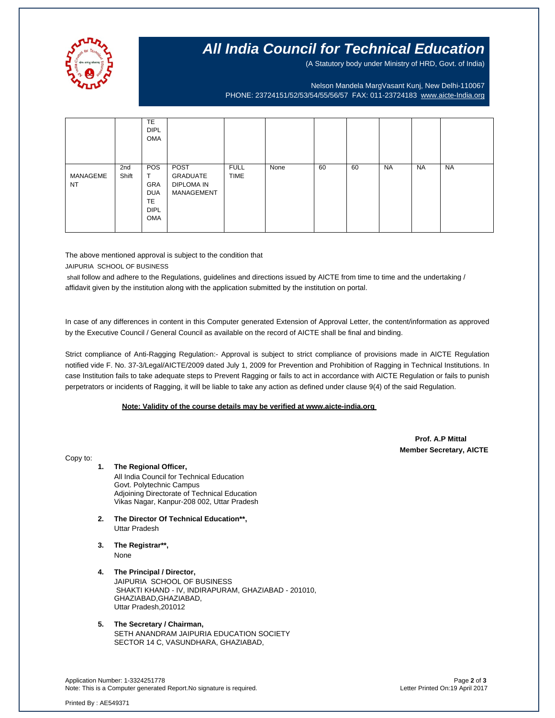

## **All India Council for Technical Education**

(A Statutory body under Ministry of HRD, Govt. of India)

Nelson Mandela MargVasant Kunj, New Delhi-110067 PHONE: 23724151/52/53/54/55/56/57 FAX: 011-23724183 [www.aicte-India.org](http://www.aicte-india.org/)

|                       |              | <b>TE</b><br><b>DIPL</b><br>OMA                                                       |                                                     |                            |      |    |    |           |           |           |
|-----------------------|--------------|---------------------------------------------------------------------------------------|-----------------------------------------------------|----------------------------|------|----|----|-----------|-----------|-----------|
| MANAGEME<br><b>NT</b> | 2nd<br>Shift | <b>POS</b><br>T<br><b>GRA</b><br><b>DUA</b><br><b>TE</b><br><b>DIPL</b><br><b>OMA</b> | POST<br><b>GRADUATE</b><br>DIPLOMA IN<br>MANAGEMENT | <b>FULL</b><br><b>TIME</b> | None | 60 | 60 | <b>NA</b> | <b>NA</b> | <b>NA</b> |

The above mentioned approval is subject to the condition that JAIPURIA SCHOOL OF BUSINESS

shall follow and adhere to the Regulations, guidelines and directions issued by AICTE from time to time and the undertaking / affidavit given by the institution along with the application submitted by the institution on portal.

In case of any differences in content in this Computer generated Extension of Approval Letter, the content/information as approved by the Executive Council / General Council as available on the record of AICTE shall be final and binding.

Strict compliance of Anti-Ragging Regulation:- Approval is subject to strict compliance of provisions made in AICTE Regulation notified vide F. No. 37-3/Legal/AICTE/2009 dated July 1, 2009 for Prevention and Prohibition of Ragging in Technical Institutions. In case Institution fails to take adequate steps to Prevent Ragging or fails to act in accordance with AICTE Regulation or fails to punish perpetrators or incidents of Ragging, it will be liable to take any action as defined under clause 9(4) of the said Regulation.

### **Note: Validity of the course details may be verified at www.aicte-india.org**

 **Prof. A.P Mittal Member Secretary, AICTE**

Copy to:

- **1. The Regional Officer,** All India Council for Technical Education Govt. Polytechnic Campus Adjoining Directorate of Technical Education Vikas Nagar, Kanpur-208 002, Uttar Pradesh
- **2. The Director Of Technical Education\*\*,** Uttar Pradesh
- **3. The Registrar\*\*,** None
- **4. The Principal / Director,** JAIPURIA SCHOOL OF BUSINESS SHAKTI KHAND - IV, INDIRAPURAM, GHAZIABAD - 201010, GHAZIABAD,GHAZIABAD, Uttar Pradesh,201012
- **5. The Secretary / Chairman,** SETH ANANDRAM JAIPURIA EDUCATION SOCIETY SECTOR 14 C, VASUNDHARA, GHAZIABAD,

Application Number: 1-3324251778 Page **2** of **3** Note: This is a Computer generated Report.No signature is required.